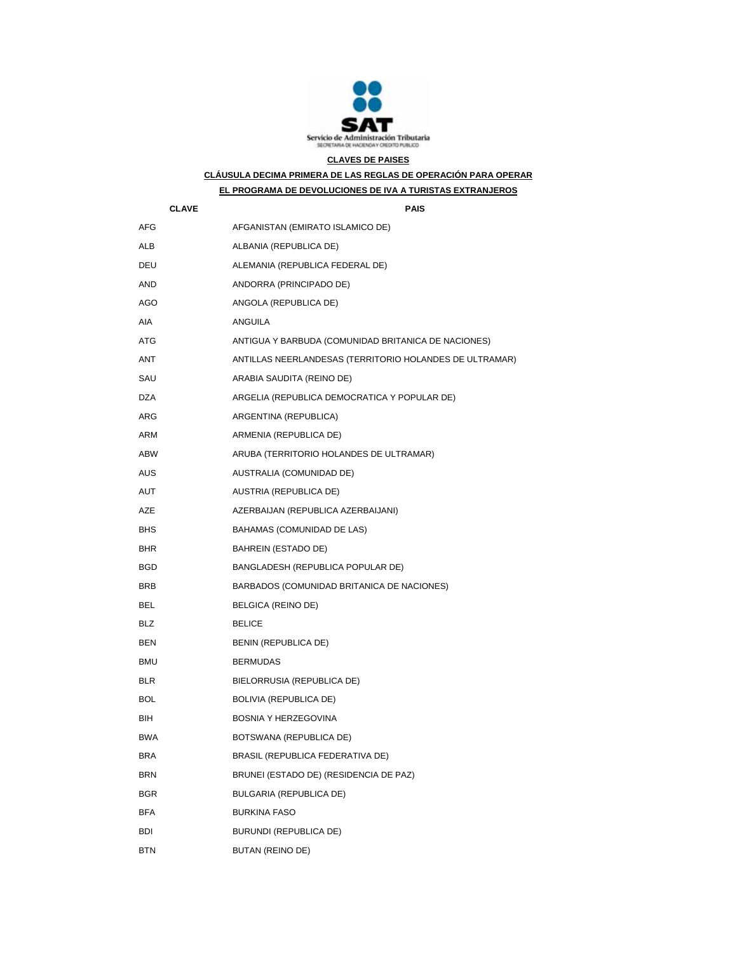

## **CLAVES DE PAISES**

**CLÁUSULA DECIMA PRIMERA DE LAS REGLAS DE OPERACIÓN PARA OPERAR** 

## **EL PROGRAMA DE DEVOLUCIONES DE IVA A TURISTAS EXTRANJEROS**

| <b>CLAVE</b> | PAIS                                                    |
|--------------|---------------------------------------------------------|
| <b>AFG</b>   | AFGANISTAN (EMIRATO ISLAMICO DE)                        |
| ALB          | ALBANIA (REPUBLICA DE)                                  |
| DEU          | ALEMANIA (REPUBLICA FEDERAL DE)                         |
| AND          | ANDORRA (PRINCIPADO DE)                                 |
| AGO          | ANGOLA (REPUBLICA DE)                                   |
| AIA          | ANGUILA                                                 |
| ATG          | ANTIGUA Y BARBUDA (COMUNIDAD BRITANICA DE NACIONES)     |
| ANT          | ANTILLAS NEERLANDESAS (TERRITORIO HOLANDES DE ULTRAMAR) |
| SAU          | ARABIA SAUDITA (REINO DE)                               |
| <b>DZA</b>   | ARGELIA (REPUBLICA DEMOCRATICA Y POPULAR DE)            |
| ARG          | ARGENTINA (REPUBLICA)                                   |
| ARM          | ARMENIA (REPUBLICA DE)                                  |
| ABW          | ARUBA (TERRITORIO HOLANDES DE ULTRAMAR)                 |
| AUS          | AUSTRALIA (COMUNIDAD DE)                                |
| AUT          | AUSTRIA (REPUBLICA DE)                                  |
| <b>AZE</b>   | AZERBAIJAN (REPUBLICA AZERBAIJANI)                      |
| <b>BHS</b>   | BAHAMAS (COMUNIDAD DE LAS)                              |
| BHR.         | BAHREIN (ESTADO DE)                                     |
| BGD          | BANGLADESH (REPUBLICA POPULAR DE)                       |
| <b>BRB</b>   | BARBADOS (COMUNIDAD BRITANICA DE NACIONES)              |
| BEL          | BELGICA (REINO DE)                                      |
| <b>BLZ</b>   | <b>BELICE</b>                                           |
| BEN          | BENIN (REPUBLICA DE)                                    |
| <b>BMU</b>   | <b>BERMUDAS</b>                                         |
| <b>BLR</b>   | BIELORRUSIA (REPUBLICA DE)                              |
| BOL          | <b>BOLIVIA (REPUBLICA DE)</b>                           |
| BIH          | BOSNIA Y HERZEGOVINA                                    |
| <b>BWA</b>   | BOTSWANA (REPUBLICA DE)                                 |
| <b>BRA</b>   | BRASIL (REPUBLICA FEDERATIVA DE)                        |
| <b>BRN</b>   | BRUNEI (ESTADO DE) (RESIDENCIA DE PAZ)                  |
| <b>BGR</b>   | <b>BULGARIA (REPUBLICA DE)</b>                          |
| BFA          | <b>BURKINA FASO</b>                                     |
| BDI          | BURUNDI (REPUBLICA DE)                                  |
| BTN          | BUTAN (REINO DE)                                        |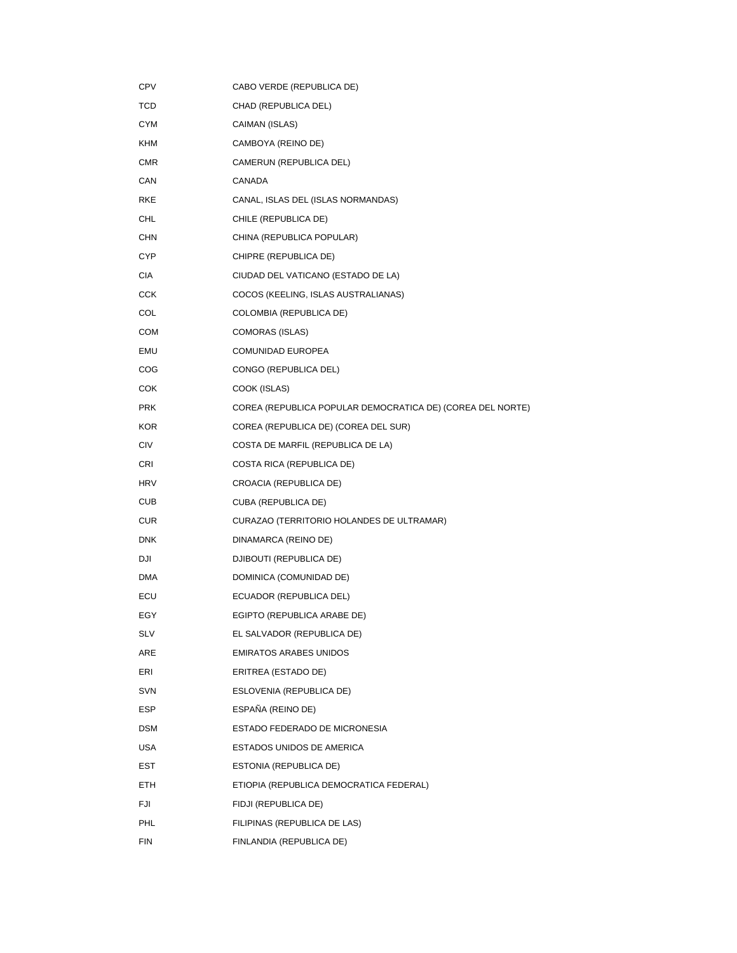| <b>CPV</b> | CABO VERDE (REPUBLICA DE)                                  |
|------------|------------------------------------------------------------|
| TCD        | CHAD (REPUBLICA DEL)                                       |
| <b>CYM</b> | CAIMAN (ISLAS)                                             |
| KHM        | CAMBOYA (REINO DE)                                         |
| <b>CMR</b> | CAMERUN (REPUBLICA DEL)                                    |
| CAN        | CANADA                                                     |
| RKE        | CANAL, ISLAS DEL (ISLAS NORMANDAS)                         |
| CHL        | CHILE (REPUBLICA DE)                                       |
| CHN        | CHINA (REPUBLICA POPULAR)                                  |
| <b>CYP</b> | CHIPRE (REPUBLICA DE)                                      |
| CIA        | CIUDAD DEL VATICANO (ESTADO DE LA)                         |
| CCK        | COCOS (KEELING, ISLAS AUSTRALIANAS)                        |
| COL        | COLOMBIA (REPUBLICA DE)                                    |
| COM        | COMORAS (ISLAS)                                            |
| EMU        | <b>COMUNIDAD EUROPEA</b>                                   |
| COG        | CONGO (REPUBLICA DEL)                                      |
| COK        | COOK (ISLAS)                                               |
| <b>PRK</b> | COREA (REPUBLICA POPULAR DEMOCRATICA DE) (COREA DEL NORTE) |
| <b>KOR</b> | COREA (REPUBLICA DE) (COREA DEL SUR)                       |
| <b>CIV</b> | COSTA DE MARFIL (REPUBLICA DE LA)                          |
| CRI        | COSTA RICA (REPUBLICA DE)                                  |
| <b>HRV</b> | CROACIA (REPUBLICA DE)                                     |
| <b>CUB</b> | CUBA (REPUBLICA DE)                                        |
| <b>CUR</b> | CURAZAO (TERRITORIO HOLANDES DE ULTRAMAR)                  |
| <b>DNK</b> | DINAMARCA (REINO DE)                                       |
| DJI        | DJIBOUTI (REPUBLICA DE)                                    |
| <b>DMA</b> | DOMINICA (COMUNIDAD DE)                                    |
| ECU        | ECUADOR (REPUBLICA DEL)                                    |
| EGY        | EGIPTO (REPUBLICA ARABE DE)                                |
| <b>SLV</b> | EL SALVADOR (REPUBLICA DE)                                 |
| ARE        | <b>EMIRATOS ARABES UNIDOS</b>                              |
| ERI        | ERITREA (ESTADO DE)                                        |
| SVN        | ESLOVENIA (REPUBLICA DE)                                   |
| ESP        | ESPAÑA (REINO DE)                                          |
| <b>DSM</b> | ESTADO FEDERADO DE MICRONESIA                              |
| USA        | ESTADOS UNIDOS DE AMERICA                                  |
| EST        | ESTONIA (REPUBLICA DE)                                     |
| ETH        | ETIOPIA (REPUBLICA DEMOCRATICA FEDERAL)                    |
| FJI        | FIDJI (REPUBLICA DE)                                       |
| PHL        | FILIPINAS (REPUBLICA DE LAS)                               |
| <b>FIN</b> | FINLANDIA (REPUBLICA DE)                                   |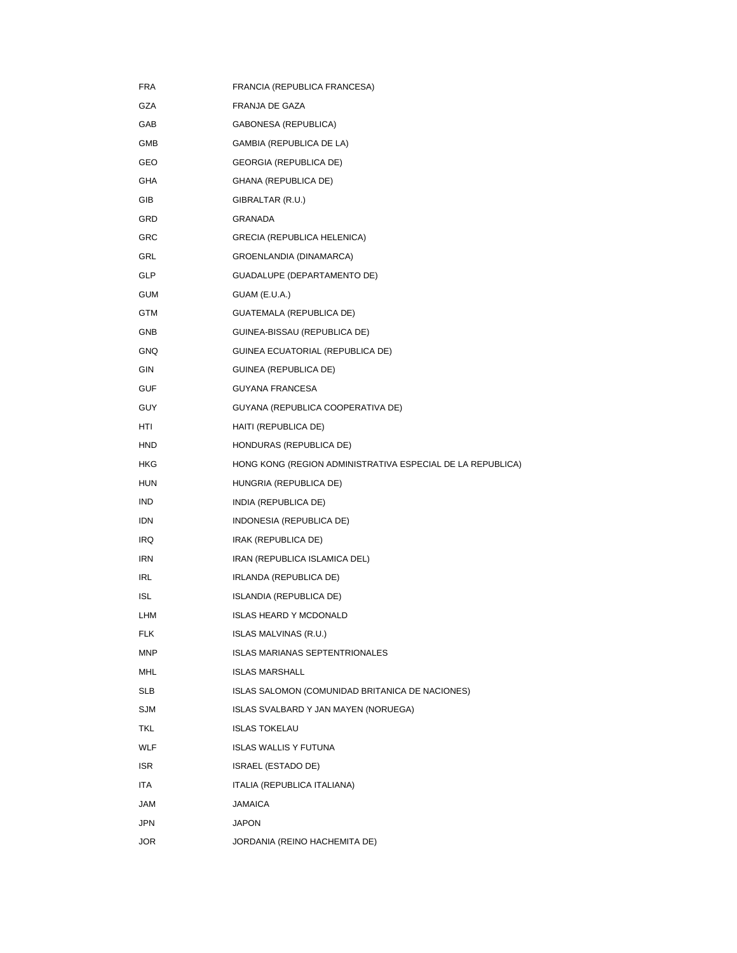| <b>FRA</b> | FRANCIA (REPUBLICA FRANCESA)                               |
|------------|------------------------------------------------------------|
| GZA        | FRANJA DE GAZA                                             |
| GAB        | GABONESA (REPUBLICA)                                       |
| GMB        | GAMBIA (REPUBLICA DE LA)                                   |
| GEO        | <b>GEORGIA (REPUBLICA DE)</b>                              |
| GHA        | GHANA (REPUBLICA DE)                                       |
| GIB        | GIBRALTAR (R.U.)                                           |
| GRD        | <b>GRANADA</b>                                             |
| <b>GRC</b> | <b>GRECIA (REPUBLICA HELENICA)</b>                         |
| GRL        | GROENLANDIA (DINAMARCA)                                    |
| <b>GLP</b> | GUADALUPE (DEPARTAMENTO DE)                                |
| GUM        | GUAM (E.U.A.)                                              |
| GTM        | GUATEMALA (REPUBLICA DE)                                   |
| <b>GNB</b> | GUINEA-BISSAU (REPUBLICA DE)                               |
| <b>GNQ</b> | GUINEA ECUATORIAL (REPUBLICA DE)                           |
| GIN        | GUINEA (REPUBLICA DE)                                      |
| <b>GUF</b> | <b>GUYANA FRANCESA</b>                                     |
| <b>GUY</b> | GUYANA (REPUBLICA COOPERATIVA DE)                          |
| HTI        | HAITI (REPUBLICA DE)                                       |
| HND        | HONDURAS (REPUBLICA DE)                                    |
| HKG        | HONG KONG (REGION ADMINISTRATIVA ESPECIAL DE LA REPUBLICA) |
| HUN        | HUNGRIA (REPUBLICA DE)                                     |
| IND        | INDIA (REPUBLICA DE)                                       |
| IDN        | INDONESIA (REPUBLICA DE)                                   |
| IRQ        | IRAK (REPUBLICA DE)                                        |
| <b>IRN</b> | IRAN (REPUBLICA ISLAMICA DEL)                              |
| IRL        | IRLANDA (REPUBLICA DE)                                     |
| <b>ISL</b> | ISLANDIA (REPUBLICA DE)                                    |
| LHM        | <b>ISLAS HEARD Y MCDONALD</b>                              |
| <b>FLK</b> | <b>ISLAS MALVINAS (R.U.)</b>                               |
| <b>MNP</b> | <b>ISLAS MARIANAS SEPTENTRIONALES</b>                      |
| MHL        | <b>ISLAS MARSHALL</b>                                      |
| SLB        | ISLAS SALOMON (COMUNIDAD BRITANICA DE NACIONES)            |
| <b>SJM</b> | ISLAS SVALBARD Y JAN MAYEN (NORUEGA)                       |
| TKL        | <b>ISLAS TOKELAU</b>                                       |
| <b>WLF</b> | <b>ISLAS WALLIS Y FUTUNA</b>                               |
| <b>ISR</b> | ISRAEL (ESTADO DE)                                         |
| ITA        | ITALIA (REPUBLICA ITALIANA)                                |
| JAM        | <b>JAMAICA</b>                                             |
| <b>JPN</b> | <b>JAPON</b>                                               |
| <b>JOR</b> | JORDANIA (REINO HACHEMITA DE)                              |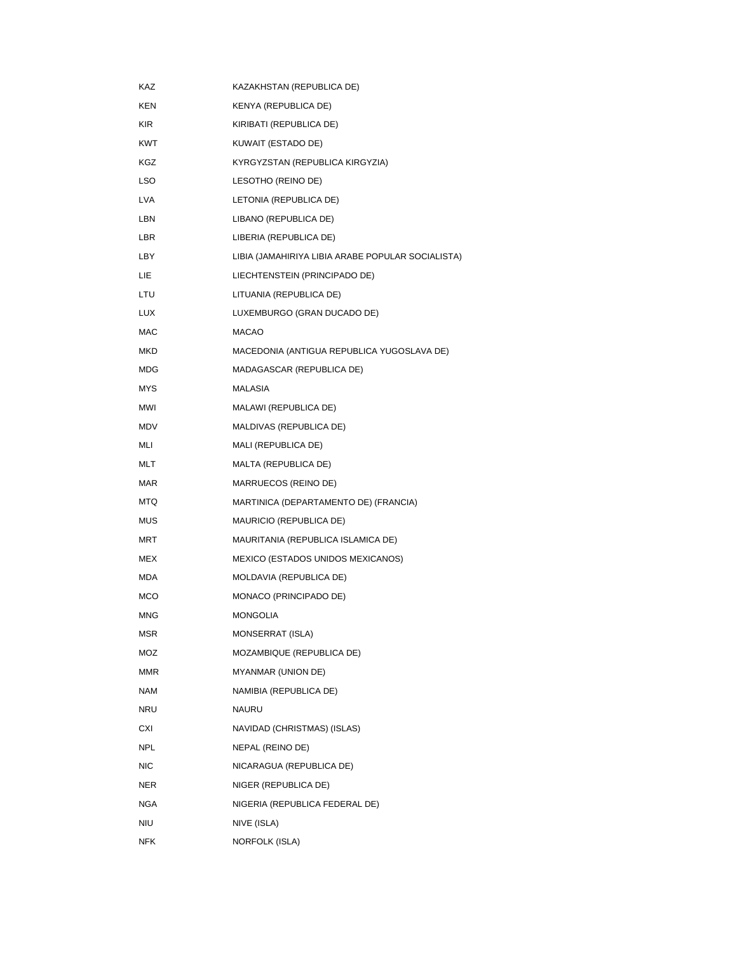| KAZ        | KAZAKHSTAN (REPUBLICA DE)                         |
|------------|---------------------------------------------------|
| <b>KEN</b> | KENYA (REPUBLICA DE)                              |
| <b>KIR</b> | KIRIBATI (REPUBLICA DE)                           |
| <b>KWT</b> | KUWAIT (ESTADO DE)                                |
| KGZ        | KYRGYZSTAN (REPUBLICA KIRGYZIA)                   |
| LSO        | LESOTHO (REINO DE)                                |
| <b>LVA</b> | LETONIA (REPUBLICA DE)                            |
| LBN        | LIBANO (REPUBLICA DE)                             |
| LBR        | LIBERIA (REPUBLICA DE)                            |
| LBY        | LIBIA (JAMAHIRIYA LIBIA ARABE POPULAR SOCIALISTA) |
| LIE.       | LIECHTENSTEIN (PRINCIPADO DE)                     |
| LTU        | LITUANIA (REPUBLICA DE)                           |
| <b>LUX</b> | LUXEMBURGO (GRAN DUCADO DE)                       |
| <b>MAC</b> | <b>MACAO</b>                                      |
| <b>MKD</b> | MACEDONIA (ANTIGUA REPUBLICA YUGOSLAVA DE)        |
| <b>MDG</b> | MADAGASCAR (REPUBLICA DE)                         |
| MYS        | <b>MALASIA</b>                                    |
| <b>MWI</b> | MALAWI (REPUBLICA DE)                             |
| <b>MDV</b> | MALDIVAS (REPUBLICA DE)                           |
| MLI        | MALI (REPUBLICA DE)                               |
| <b>MLT</b> | MALTA (REPUBLICA DE)                              |
| <b>MAR</b> | MARRUECOS (REINO DE)                              |
| <b>MTQ</b> | MARTINICA (DEPARTAMENTO DE) (FRANCIA)             |
| <b>MUS</b> | <b>MAURICIO (REPUBLICA DE)</b>                    |
| <b>MRT</b> | MAURITANIA (REPUBLICA ISLAMICA DE)                |
| <b>MEX</b> | MEXICO (ESTADOS UNIDOS MEXICANOS)                 |
| <b>MDA</b> | MOLDAVIA (REPUBLICA DE)                           |
| MCO        | MONACO (PRINCIPADO DE)                            |
| <b>MNG</b> | <b>MONGOLIA</b>                                   |
| MSR        | MONSERRAT (ISLA)                                  |
| MOZ        | MOZAMBIQUE (REPUBLICA DE)                         |
| <b>MMR</b> | MYANMAR (UNION DE)                                |
| <b>NAM</b> | NAMIBIA (REPUBLICA DE)                            |
| <b>NRU</b> | <b>NAURU</b>                                      |
| CXI        | NAVIDAD (CHRISTMAS) (ISLAS)                       |
| <b>NPL</b> | NEPAL (REINO DE)                                  |
| <b>NIC</b> | NICARAGUA (REPUBLICA DE)                          |
| <b>NER</b> | NIGER (REPUBLICA DE)                              |
| <b>NGA</b> | NIGERIA (REPUBLICA FEDERAL DE)                    |
| NIU        | NIVE (ISLA)                                       |
| NFK        | NORFOLK (ISLA)                                    |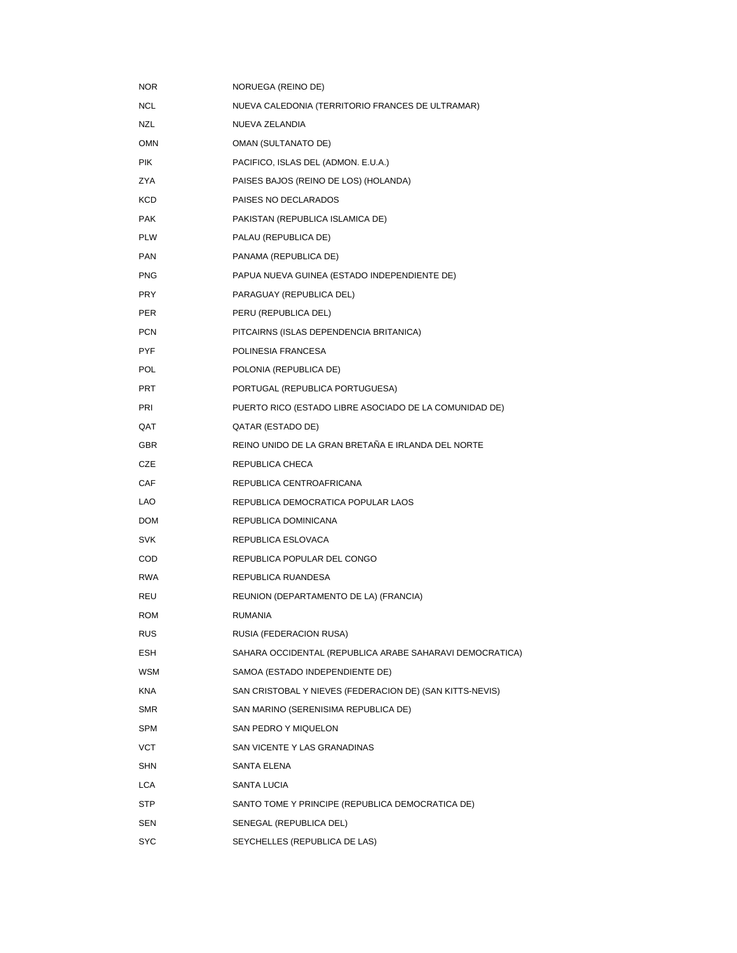| <b>NOR</b> | NORUEGA (REINO DE)                                       |
|------------|----------------------------------------------------------|
| <b>NCL</b> | NUEVA CALEDONIA (TERRITORIO FRANCES DE ULTRAMAR)         |
| NZL        | NUEVA ZELANDIA                                           |
| <b>OMN</b> | <b>OMAN (SULTANATO DE)</b>                               |
| <b>PIK</b> | PACIFICO, ISLAS DEL (ADMON. E.U.A.)                      |
| <b>ZYA</b> | PAISES BAJOS (REINO DE LOS) (HOLANDA)                    |
| KCD        | PAISES NO DECLARADOS                                     |
| <b>PAK</b> | PAKISTAN (REPUBLICA ISLAMICA DE)                         |
| <b>PLW</b> | PALAU (REPUBLICA DE)                                     |
| <b>PAN</b> | PANAMA (REPUBLICA DE)                                    |
| <b>PNG</b> | PAPUA NUEVA GUINEA (ESTADO INDEPENDIENTE DE)             |
| <b>PRY</b> | PARAGUAY (REPUBLICA DEL)                                 |
| <b>PER</b> | PERU (REPUBLICA DEL)                                     |
| <b>PCN</b> | PITCAIRNS (ISLAS DEPENDENCIA BRITANICA)                  |
| <b>PYF</b> | POLINESIA FRANCESA                                       |
| POL        | POLONIA (REPUBLICA DE)                                   |
| <b>PRT</b> | PORTUGAL (REPUBLICA PORTUGUESA)                          |
| PRI        | PUERTO RICO (ESTADO LIBRE ASOCIADO DE LA COMUNIDAD DE)   |
| <b>OAT</b> | QATAR (ESTADO DE)                                        |
| <b>GBR</b> | REINO UNIDO DE LA GRAN BRETAÑA E IRLANDA DEL NORTE       |
| CZE        | REPUBLICA CHECA                                          |
| CAF        | REPUBLICA CENTROAFRICANA                                 |
| LAO        | REPUBLICA DEMOCRATICA POPULAR LAOS                       |
| <b>DOM</b> | REPUBLICA DOMINICANA                                     |
| <b>SVK</b> | REPUBLICA ESLOVACA                                       |
| <b>COD</b> | REPUBLICA POPULAR DEL CONGO                              |
| <b>RWA</b> | REPUBLICA RUANDESA                                       |
| REU        | REUNION (DEPARTAMENTO DE LA) (FRANCIA)                   |
| <b>ROM</b> | <b>RUMANIA</b>                                           |
| <b>RUS</b> | RUSIA (FEDERACION RUSA)                                  |
| ESH        | SAHARA OCCIDENTAL (REPUBLICA ARABE SAHARAVI DEMOCRATICA) |
| <b>WSM</b> | SAMOA (ESTADO INDEPENDIENTE DE)                          |
| <b>KNA</b> | SAN CRISTOBAL Y NIEVES (FEDERACION DE) (SAN KITTS-NEVIS) |
| <b>SMR</b> | SAN MARINO (SERENISIMA REPUBLICA DE)                     |
| <b>SPM</b> | SAN PEDRO Y MIQUELON                                     |
| VCT        | SAN VICENTE Y LAS GRANADINAS                             |
| <b>SHN</b> | SANTA ELENA                                              |
| <b>LCA</b> | SANTA LUCIA                                              |
| STP        | SANTO TOME Y PRINCIPE (REPUBLICA DEMOCRATICA DE)         |
| SEN        | SENEGAL (REPUBLICA DEL)                                  |
| SYC        | SEYCHELLES (REPUBLICA DE LAS)                            |
|            |                                                          |